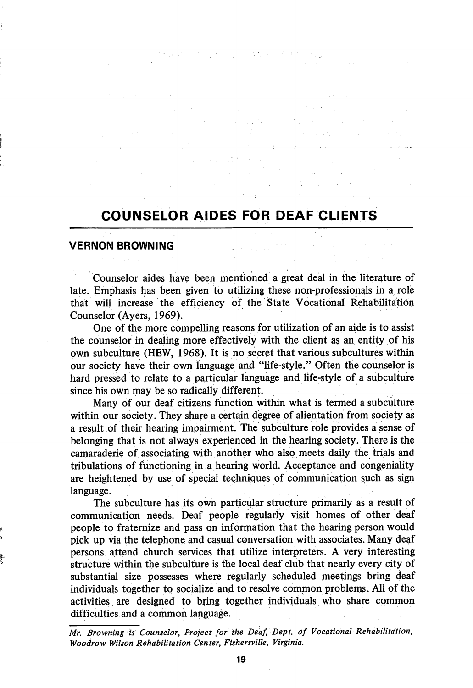## COUNSELOR AIDES FOR DEAF CLIENTS

 $\mathcal{F}=\mathcal{G}_{\mathcal{G}}$  , where  $\mathcal{G}_{\mathcal{G}}$ 

 $\mathcal{A}^{\mathcal{A}}$  , where  $\mathcal{A}^{\mathcal{A}}$  are  $\mathcal{A}^{\mathcal{A}}$  , and  $\mathcal{A}^{\mathcal{A}}$ 

 $\hat{\mathcal{L}}_{\text{max}}$  and  $\hat{\mathcal{L}}_{\text{max}}$  and  $\hat{\mathcal{L}}_{\text{max}}$ 

 $\label{eq:2.1} \begin{split} \mathcal{L}_{\text{eff}}(\mathcal{F})&=\mathcal{F}(\mathcal{F})\left(\mathcal{F}(\mathcal{F})\right)\left(\mathcal{F}(\mathcal{F})\right)\left(\mathcal{F}(\mathcal{F})\right)\left(\mathcal{F}(\mathcal{F})\right)\left(\mathcal{F}(\mathcal{F})\right)\left(\mathcal{F}(\mathcal{F})\right)\left(\mathcal{F}(\mathcal{F})\right)\left(\mathcal{F}(\mathcal{F})\right)\left(\mathcal{F}(\mathcal{F})\right)\left(\mathcal{F}(\mathcal{F})\right)\left(\mathcal{F}(\mathcal{F})\right$ 

 $\label{eq:2.1} \mathcal{F}^{\mathcal{A}}_{\mathcal{A}}(\mathcal{A})=\mathcal{F}^{\mathcal{A}}_{\mathcal{A}}(\mathcal{A})=\mathcal{F}^{\mathcal{A}}_{\mathcal{A}}(\mathcal{A})=\mathcal{F}^{\mathcal{A}}_{\mathcal{A}}(\mathcal{A})$ 

 $\label{eq:2.1} \frac{1}{2} \sum_{i=1}^n \frac{1}{2} \sum_{i=1}^n \frac{1}{2} \sum_{i=1}^n \frac{1}{2} \sum_{i=1}^n \frac{1}{2} \sum_{i=1}^n \frac{1}{2} \sum_{i=1}^n \frac{1}{2} \sum_{i=1}^n \frac{1}{2} \sum_{i=1}^n \frac{1}{2} \sum_{i=1}^n \frac{1}{2} \sum_{i=1}^n \frac{1}{2} \sum_{i=1}^n \frac{1}{2} \sum_{i=1}^n \frac{1}{2} \sum_{i=1}^n \frac{$  $\label{eq:2.1} \mathcal{L}(\mathbf{y}) = \mathcal{L}(\mathbf{y}) = \mathcal{L}(\mathbf{y}) = \mathcal{L}(\mathbf{y}) = \mathcal{L}(\mathbf{y}) = \mathcal{L}(\mathbf{y}) = \mathcal{L}(\mathbf{y}) = \mathcal{L}(\mathbf{y}) = \mathcal{L}(\mathbf{y})$ 

 $\sim 4000$  km s  $^{-1}$ 

## VERNON BROWNING

Counselor aides have been mentioned a great deal in the literature of late. Emphasis has been given to utilizing these non-professionals in a role that will increase the efficiency of the State Vocational Rehabilitation Counselor (Ayers, 1969).

One of the more compelling reasons for utilization of an aide is to assist the counselor in dealing more effectively with the client as an entity of his own subculture (HEW, 1968). It is no secret that various subcultures within our society have their own language and "life-style." Often the counselor is hard pressed to relate to a particular language and life-style of a subculture since his own may be so radically different.

Many of our deaf citizens function within what is termed a subculture within our society. They share a certain degree of alientation from society as a result of their hearing impairment, The subculture role provides a sense of belonging that is not always experienced in the hearing society. There is the camaraderie of associating with another who also meets daily the trials and tribulations of functioning in a hearing world. Acceptance and congeniality are heightened by use of special techniques of communication such as sign language.

The subculture has its own particular structure primarily as a result of communication needs. Deaf people regularly visit homes of other deaf people to fraternize and pass on information that the hearing person would pick up via the telephone and casual conversation with associates. Many deaf persons attend church services that utilize interpreters. A very interesting structure within the subculture is the local deaf club that nearly every city of substantial size possesses where regularly scheduled meetings bring deaf individuals together to socialize and to resolve common problems. All of the activities are designed to bring together individuals who share common difficulties and a common language.

Mr. Browning is Counselor, Project for the Deaf, Dept. of Vocational Rehabilitation, Woodrow Wilson Rehabilitation Center, Fishersville, Virginia.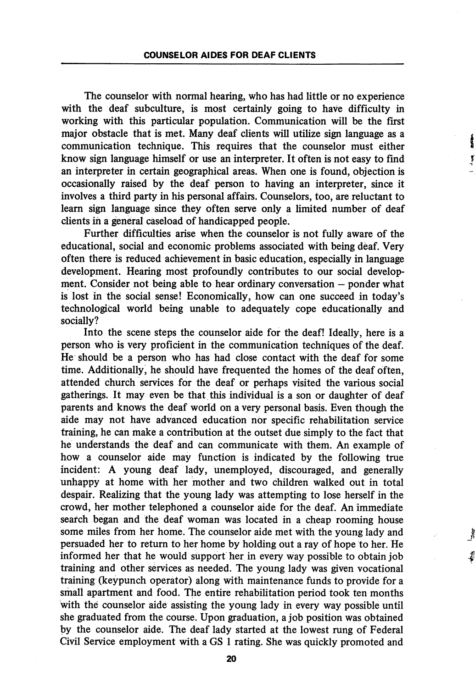The counselor with normal hearing, who has had little or no experience with the deaf subculture, is most certainly going to have difficulty in working with this particular population. Communication will be the first major obstacle that is met. Many deaf clients will utilize sign language as a communication technique. This requires that the counselor must either know sign language himself or use an interpreter. It often is not easy to find an interpreter in certain geographical areas. When one is found, objection is occasionally raised by the deaf person to having an interpreter, since it involves a third party in his personal affairs. Counselors, too, are reluctant to learn sign language since they often serve only a limited number of deaf clients in a general caseload of handicapped people.

į

Further difficulties arise when the counselor is not fully aware of the educational, social and economic problems associated with being deaf. Very often there is reduced achievement in basic education, especially in language development. Hearing most profoundly contributes to our social develop ment. Consider not being able to hear ordinary conversation — ponder what is lost in the social sense! Economically, how can one succeed in today's technological world being unable to adequately cope educationally and socially?

Into the scene steps the counselor aide for the deaf! Ideally, here is a person who is very proficient in the communication techniques of the deaf. He should be a person who has had close contact with the deaf for some time. Additionally, he should have frequented the homes of the deaf often, attended church services for the deaf or perhaps visited the various social gatherings. It may even be that this individual is a son or daughter of deaf parents and knows the deaf world on a very personal basis. Even though the aide may not have advanced education nor specific rehabilitation service training, he can make a contribution at the outset due simply to the fact that he understands the deaf and can communicate with them. An example of how a counselor aide may function is indicated by the following true incident: A young deaf lady, unemployed, discouraged, and generally unhappy at home with her mother and two children walked out in total despair. Realizing that the young lady was attempting to lose herself in the crowd, her mother telephoned a counselor aide for the deaf. An immediate search began and the deaf woman was located in a cheap rooming house some miles from her home. The counselor aide met with the young lady and persuaded her to return to her home by holding out a ray of hope to her. He informed her that he would support her in every way possible to obtain job training and other services as needed. The young lady was given vocational training (keypunch operator) along with maintenance funds to provide for a small apartment and food. The entire rehabilitation period took ten months with the counselor aide assisting the young lady in every way possible until she graduated from the course. Upon graduation, a job position was obtained by the counselor aide. The deaf lady started at the lowest rung of Federal Civil Service employment with a GS 1 rating. She was quickly promoted and

20